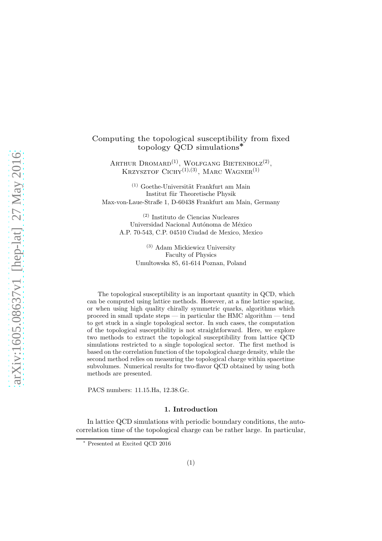## Computing the topological susceptibility from fixed topology QCD simulations<sup>∗</sup>

ARTHUR DROMARD<sup>(1)</sup>, WOLFGANG BIETENHOLZ<sup>(2)</sup>, KRZYSZTOF CICHY<sup>(1),(3)</sup>, MARC WAGNER<sup>(1)</sup>

 $(1)$  Goethe-Universität Frankfurt am Main Institut für Theoretische Physik Max-von-Laue-Straße 1, D-60438 Frankfurt am Main, Germany

(2) Instituto de Ciencias Nucleares Universidad Nacional Autónoma de México A.P. 70-543, C.P. 04510 Ciudad de Mexico, Mexico

> (3) Adam Mickiewicz University Faculty of Physics Umultowska 85, 61-614 Poznan, Poland

The topological susceptibility is an important quantity in QCD, which can be computed using lattice methods. However, at a fine lattice spacing, or when using high quality chirally symmetric quarks, algorithms which proceed in small update steps — in particular the HMC algorithm — tend to get stuck in a single topological sector. In such cases, the computation of the topological susceptibility is not straightforward. Here, we explore two methods to extract the topological susceptibility from lattice QCD simulations restricted to a single topological sector. The first method is based on the correlation function of the topological charge density, while the second method relies on measuring the topological charge within spacetime subvolumes. Numerical results for two-flavor QCD obtained by using both methods are presented.

PACS numbers: 11.15.Ha, 12.38.Gc.

#### 1. Introduction

In lattice QCD simulations with periodic boundary conditions, the autocorrelation time of the topological charge can be rather large. In particular,

<sup>∗</sup> Presented at Excited QCD 2016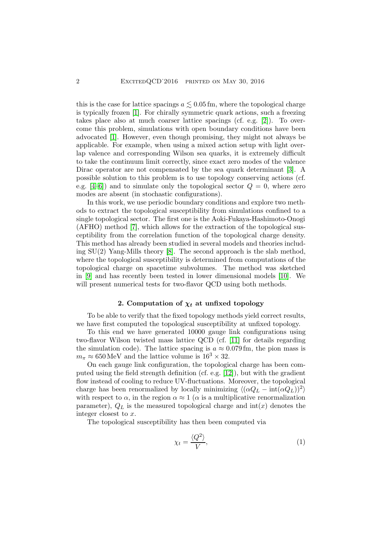this is the case for lattice spacings  $a \lesssim 0.05$  fm, where the topological charge is typically frozen [\[1\]](#page-5-0). For chirally symmetric quark actions, such a freezing takes place also at much coarser lattice spacings (cf. e.g. [\[2\]](#page-5-1)). To overcome this problem, simulations with open boundary conditions have been advocated [\[1\]](#page-5-0). However, even though promising, they might not always be applicable. For example, when using a mixed action setup with light overlap valence and corresponding Wilson sea quarks, it is extremely difficult to take the continuum limit correctly, since exact zero modes of the valence Dirac operator are not compensated by the sea quark determinant [\[3\]](#page-5-2). A possible solution to this problem is to use topology conserving actions (cf. e.g.  $[4-6]$  $[4-6]$  and to simulate only the topological sector  $Q = 0$ , where zero modes are absent (in stochastic configurations).

In this work, we use periodic boundary conditions and explore two methods to extract the topological susceptibility from simulations confined to a single topological sector. The first one is the Aoki-Fukaya-Hashimoto-Onogi (AFHO) method [\[7\]](#page-5-5), which allows for the extraction of the topological susceptibility from the correlation function of the topological charge density. This method has already been studied in several models and theories including SU(2) Yang-Mills theory [\[8\]](#page-5-6). The second approach is the slab method, where the topological susceptibility is determined from computations of the topological charge on spacetime subvolumes. The method was sketched in [\[9\]](#page-5-7) and has recently been tested in lower dimensional models [\[10\]](#page-5-8). We will present numerical tests for two-flavor QCD using both methods.

# 2. Computation of  $\chi_t$  at unfixed topology

<span id="page-1-0"></span>To be able to verify that the fixed topology methods yield correct results, we have first computed the topological susceptibility at unfixed topology.

To this end we have generated 10000 gauge link configurations using two-flavor Wilson twisted mass lattice QCD (cf. [\[11\]](#page-5-9) for details regarding the simulation code). The lattice spacing is  $a \approx 0.079$  fm, the pion mass is  $m_{\pi} \approx 650 \,\text{MeV}$  and the lattice volume is  $16^3 \times 32$ .

On each gauge link configuration, the topological charge has been computed using the field strength definition (cf. e.g. [\[12\]](#page-5-10)), but with the gradient flow instead of cooling to reduce UV-fluctuations. Moreover, the topological charge has been renormalized by locally minimizing  $\langle (\alpha Q_L - \text{int}(\alpha Q_L))^2 \rangle$ with respect to  $\alpha$ , in the region  $\alpha \approx 1$  ( $\alpha$  is a multiplicative renormalization parameter),  $Q_L$  is the measured topological charge and  $\text{int}(x)$  denotes the integer closest to x.

The topological susceptibility has then been computed via

$$
\chi_t = \frac{\langle Q^2 \rangle}{V},\tag{1}
$$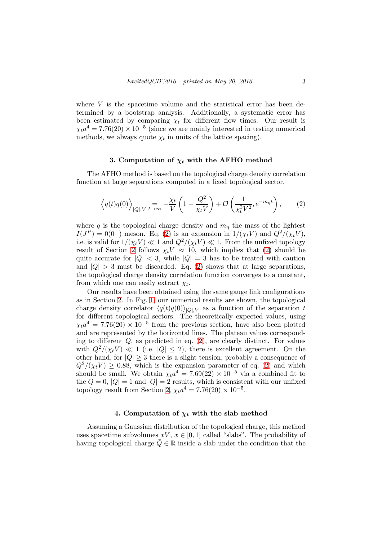where  $V$  is the spacetime volume and the statistical error has been determined by a bootstrap analysis. Additionally, a systematic error has been estimated by comparing  $\chi_t$  for different flow times. Our result is  $\chi_t a^4 = 7.76(20) \times 10^{-5}$  (since we are mainly interested in testing numerical methods, we always quote  $\chi_t$  in units of the lattice spacing).

#### 3. Computation of  $\chi_t$  with the AFHO method

The AFHO method is based on the topological charge density correlation function at large separations computed in a fixed topological sector,

<span id="page-2-0"></span>
$$
\left\langle q(t)q(0)\right\rangle_{|Q|,V} = \frac{\chi_t}{V} \left(1 - \frac{Q^2}{\chi_t V}\right) + \mathcal{O}\left(\frac{1}{\chi_t^2 V^2}, e^{-m_\eta t}\right),\tag{2}
$$

where q is the topological charge density and  $m<sub>\eta</sub>$  the mass of the lightest  $I(J^P) = 0(0^-)$  meson. Eq. [\(2\)](#page-2-0) is an expansion in  $1/(\chi_t V)$  and  $Q^2/(\chi_t V)$ , i.e. is valid for  $1/(\chi_t V) \ll 1$  and  $Q^2/(\chi_t V) \ll 1$ . From the unfixed topology result of Section [2](#page-1-0) follows  $\chi_t V \approx 10$ , which implies that [\(2\)](#page-2-0) should be quite accurate for  $|Q| < 3$ , while  $|Q| = 3$  has to be treated with caution and  $|Q| > 3$  must be discarded. Eq. [\(2\)](#page-2-0) shows that at large separations, the topological charge density correlation function converges to a constant, from which one can easily extract  $\chi_t$ .

Our results have been obtained using the same gauge link configurations as in Section [2.](#page-1-0) In Fig. [1,](#page-3-0) our numerical results are shown, the topological charge density correlator  $\langle q(t)q(0)\rangle_{|Q|,V}$  as a function of the separation t for different topological sectors. The theoretically expected values, using  $\chi_t a^4 = 7.76(20) \times 10^{-5}$  from the previous section, have also been plotted and are represented by the horizontal lines. The plateau values corresponding to different  $Q$ , as predicted in eq.  $(2)$ , are clearly distinct. For values with  $Q^2/(\chi_t V) \ll 1$  (i.e.  $|Q| \leq 2$ ), there is excellent agreement. On the other hand, for  $|Q| \geq 3$  there is a slight tension, probably a consequence of  $Q^2/(\chi_t V) \geq 0.88$ , which is the expansion parameter of eq. [\(2\)](#page-2-0) and which should be small. We obtain  $\chi_t a^4 = 7.69(22) \times 10^{-5}$  via a combined fit to the  $Q = 0$ ,  $|Q| = 1$  and  $|Q| = 2$  results, which is consistent with our unfixed topology result from Section [2,](#page-1-0)  $\chi_t a^4 = 7.76(20) \times 10^{-5}$ .

## 4. Computation of  $\chi_t$  with the slab method

Assuming a Gaussian distribution of the topological charge, this method uses spacetime subvolumes  $xV, x \in [0,1]$  called "slabs". The probability of having topological charge  $Q \in \mathbb{R}$  inside a slab under the condition that the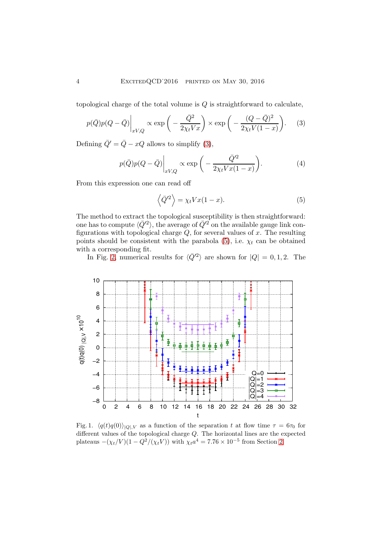topological charge of the total volume is  $Q$  is straightforward to calculate,

<span id="page-3-1"></span>
$$
p(\bar{Q})p(Q-\bar{Q})\Big|_{xV,Q} \propto \exp\bigg(-\frac{\bar{Q}^2}{2\chi_t V x}\bigg) \times \exp\bigg(-\frac{(Q-\bar{Q})^2}{2\chi_t V(1-x)}\bigg). \tag{3}
$$

Defining  $\overline{Q}' = \overline{Q} - xQ$  allows to simplify [\(3\)](#page-3-1),

$$
p(\bar{Q})p(Q-\bar{Q})\Big|_{xV,Q} \propto \exp\bigg(-\frac{\bar{Q}'^2}{2\chi_t V x(1-x)}\bigg). \tag{4}
$$

From this expression one can read off

<span id="page-3-2"></span>
$$
\langle \bar{Q}'^2 \rangle = \chi_t V x (1 - x). \tag{5}
$$

The method to extract the topological susceptibility is then straightforward: one has to compute  $\langle \bar{Q}'^2 \rangle$ , the average of  $\bar{Q}'^2$  on the available gauge link configurations with topological charge  $Q$ , for several values of  $x$ . The resulting points should be consistent with the parabola  $(5)$ , i.e.  $\chi_t$  can be obtained with a corresponding fit.

In Fig. [2,](#page-4-0) numerical results for  $\langle \bar{Q}'^2 \rangle$  are shown for  $|Q| = 0, 1, 2$ . The



<span id="page-3-0"></span>Fig. 1.  $\langle q(t)q(0)\rangle_{|Q|,V}$  as a function of the separation t at flow time  $\tau = 6\tau_0$  for different values of the topological charge  $Q$ . The horizontal lines are the expected plateaus  $-(\chi_t/V)(1 - Q^2/(\chi_t V))$  with  $\chi_t a^4 = 7.76 \times 10^{-5}$  from Section [2.](#page-1-0)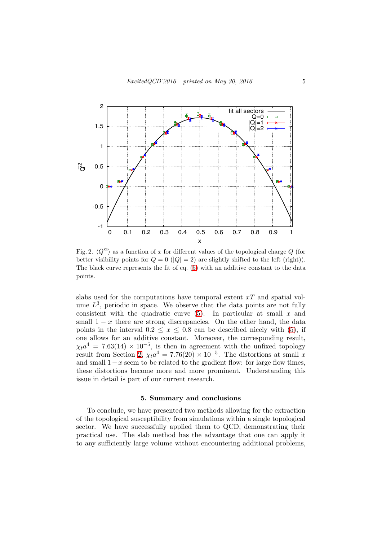

<span id="page-4-0"></span>Fig. 2.  $\langle \bar{Q}'^2 \rangle$  as a function of x for different values of the topological charge Q (for better visibility points for  $Q = 0$  ( $|Q| = 2$ ) are slightly shifted to the left (right)). The black curve represents the fit of eq. [\(5\)](#page-3-2) with an additive constant to the data points.

slabs used for the computations have temporal extent  $xT$  and spatial volume  $L^3$ , periodic in space. We observe that the data points are not fully consistent with the quadratic curve  $(5)$ . In particular at small x and small  $1 - x$  there are strong discrepancies. On the other hand, the data points in the interval  $0.2 \leq x \leq 0.8$  can be described nicely with [\(5\)](#page-3-2), if one allows for an additive constant. Moreover, the corresponding result,  $\chi_t a^4 = 7.63(14) \times 10^{-5}$ , is then in agreement with the unfixed topology result from Section [2,](#page-1-0)  $\chi_t a^4 = 7.76(20) \times 10^{-5}$ . The distortions at small x and small  $1-x$  seem to be related to the gradient flow: for large flow times, these distortions become more and more prominent. Understanding this issue in detail is part of our current research.

#### 5. Summary and conclusions

To conclude, we have presented two methods allowing for the extraction of the topological susceptibility from simulations within a single topological sector. We have successfully applied them to QCD, demonstrating their practical use. The slab method has the advantage that one can apply it to any sufficiently large volume without encountering additional problems,